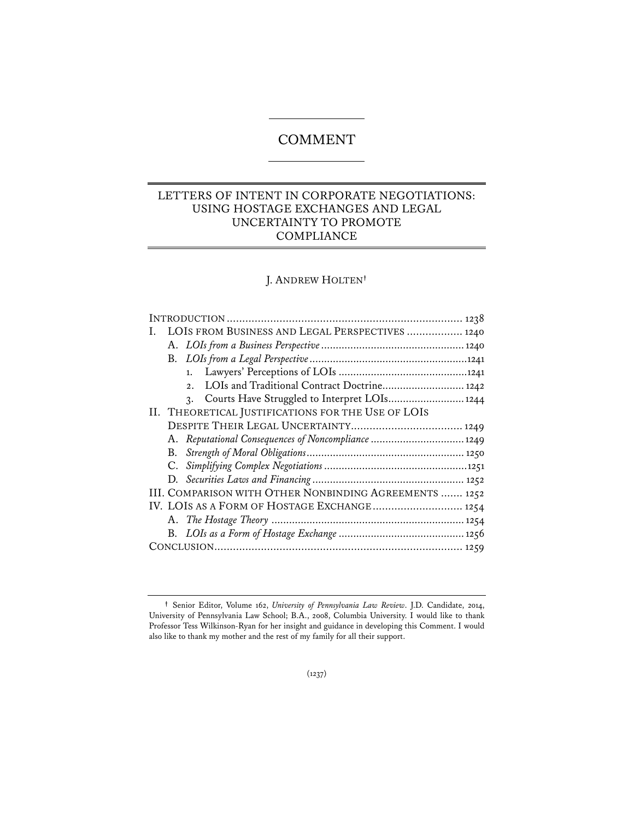# COMMENT

# LETTERS OF INTENT IN CORPORATE NEGOTIATIONS: USING HOSTAGE EXCHANGES AND LEGAL UNCERTAINTY TO PROMOTE **COMPLIANCE**

# J. ANDREW HOLTEN**†**

|  | I. LOIS FROM BUSINESS AND LEGAL PERSPECTIVES  1240 |                                                        |  |  |
|--|----------------------------------------------------|--------------------------------------------------------|--|--|
|  |                                                    |                                                        |  |  |
|  |                                                    |                                                        |  |  |
|  |                                                    |                                                        |  |  |
|  |                                                    | LOIs and Traditional Contract Doctrine 1242<br>2.      |  |  |
|  |                                                    | 3. Courts Have Struggled to Interpret LOIs 1244        |  |  |
|  | II. THEORETICAL JUSTIFICATIONS FOR THE USE OF LOIS |                                                        |  |  |
|  |                                                    |                                                        |  |  |
|  |                                                    | A. Reputational Consequences of Noncompliance  1249    |  |  |
|  |                                                    |                                                        |  |  |
|  |                                                    |                                                        |  |  |
|  |                                                    |                                                        |  |  |
|  |                                                    | III. COMPARISON WITH OTHER NONBINDING AGREEMENTS  1252 |  |  |
|  |                                                    | IV. LOIS AS A FORM OF HOSTAGE EXCHANGE 1254            |  |  |
|  |                                                    |                                                        |  |  |
|  |                                                    |                                                        |  |  |
|  |                                                    |                                                        |  |  |

**<sup>†</sup>** Senior Editor, Volume 162, *University of Pennsylvania Law Review*. J.D. Candidate, 2014, University of Pennsylvania Law School; B.A., 2008, Columbia University. I would like to thank Professor Tess Wilkinson-Ryan for her insight and guidance in developing this Comment. I would also like to thank my mother and the rest of my family for all their support.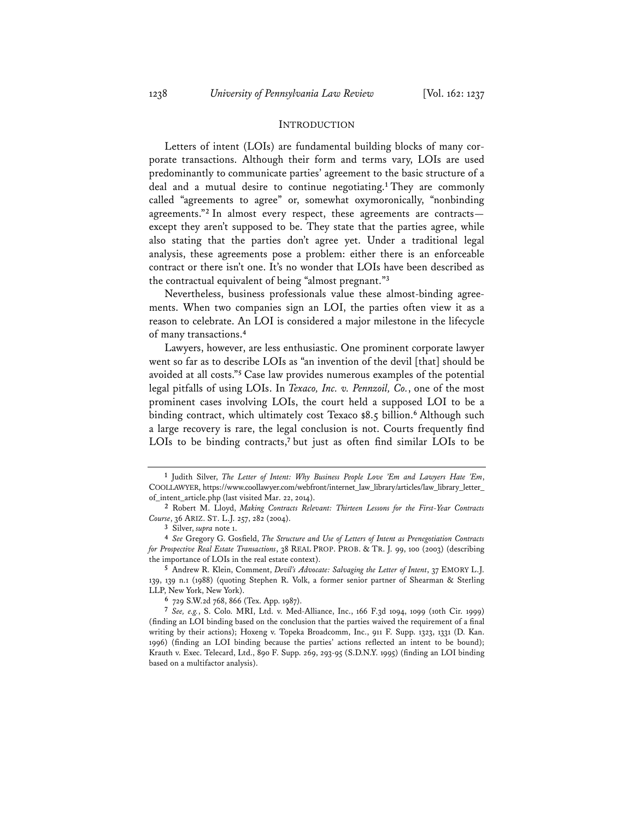### INTRODUCTION

Letters of intent (LOIs) are fundamental building blocks of many corporate transactions. Although their form and terms vary, LOIs are used predominantly to communicate parties' agreement to the basic structure of a deal and a mutual desire to continue negotiating.**<sup>1</sup>** They are commonly called "agreements to agree" or, somewhat oxymoronically, "nonbinding agreements."**<sup>2</sup>** In almost every respect, these agreements are contracts except they aren't supposed to be. They state that the parties agree, while also stating that the parties don't agree yet. Under a traditional legal analysis, these agreements pose a problem: either there is an enforceable contract or there isn't one. It's no wonder that LOIs have been described as the contractual equivalent of being "almost pregnant."**<sup>3</sup>**

Nevertheless, business professionals value these almost-binding agreements. When two companies sign an LOI, the parties often view it as a reason to celebrate. An LOI is considered a major milestone in the lifecycle of many transactions.**<sup>4</sup>**

Lawyers, however, are less enthusiastic. One prominent corporate lawyer went so far as to describe LOIs as "an invention of the devil [that] should be avoided at all costs."**<sup>5</sup>** Case law provides numerous examples of the potential legal pitfalls of using LOIs. In *Texaco, Inc. v. Pennzoil, Co.*, one of the most prominent cases involving LOIs, the court held a supposed LOI to be a binding contract, which ultimately cost Texaco \$8.5 billion.**<sup>6</sup>** Although such a large recovery is rare, the legal conclusion is not. Courts frequently find LOIs to be binding contracts,<sup>7</sup> but just as often find similar LOIs to be

**5** Andrew R. Klein, Comment, *Devil's Advocate: Salvaging the Letter of Intent*, 37 EMORY L.J. 139, 139 n.1 (1988) (quoting Stephen R. Volk, a former senior partner of Shearman & Sterling LLP, New York, New York).

**6** 729 S.W.2d 768, 866 (Tex. App. 1987).

**7** *See, e.g.*, S. Colo. MRI, Ltd. v. Med-Alliance, Inc., 166 F.3d 1094, 1099 (10th Cir. 1999) (finding an LOI binding based on the conclusion that the parties waived the requirement of a final writing by their actions); Hoxeng v. Topeka Broadcomm, Inc., 911 F. Supp. 1323, 1331 (D. Kan. 1996) (finding an LOI binding because the parties' actions reflected an intent to be bound); Krauth v. Exec. Telecard, Ltd., 890 F. Supp. 269, 293-95 (S.D.N.Y. 1995) (finding an LOI binding based on a multifactor analysis).

**<sup>1</sup>** Judith Silver, *The Letter of Intent: Why Business People Love 'Em and Lawyers Hate 'Em*, COOLLAWYER, https://www.coollawyer.com/webfront/internet\_law\_library/articles/law\_library\_letter\_ of\_intent\_article.php (last visited Mar. 22, 2014).

**<sup>2</sup>** Robert M. Lloyd, *Making Contracts Relevant: Thirteen Lessons for the First-Year Contracts Course*, 36 ARIZ. ST. L.J. 257, 282 (2004).

**<sup>3</sup>** Silver, *supra* note 1.

**<sup>4</sup>** *See* Gregory G. Gosfield, *The Structure and Use of Letters of Intent as Prenegotiation Contracts for Prospective Real Estate Transactions*, 38 REAL PROP. PROB. & TR. J. 99, 100 (2003) (describing the importance of LOIs in the real estate context).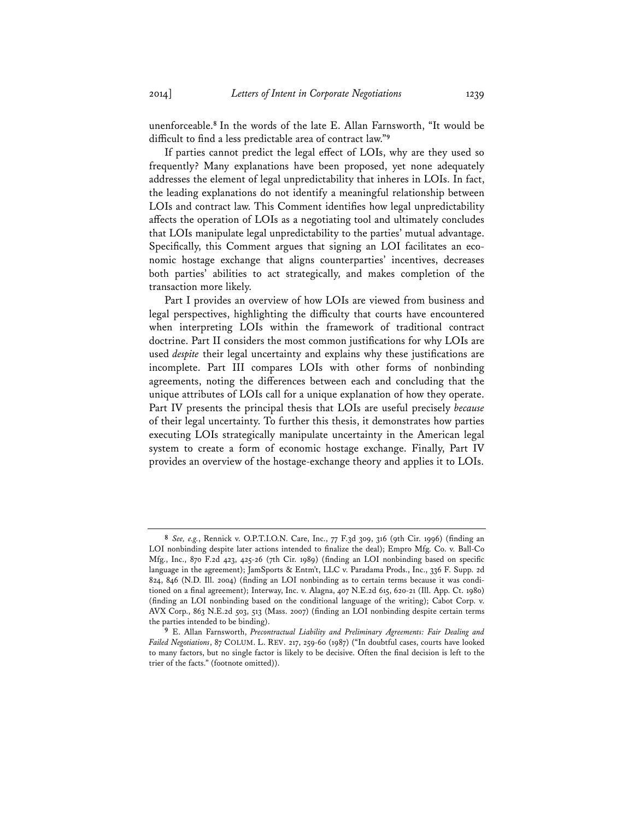unenforceable.**<sup>8</sup>** In the words of the late E. Allan Farnsworth, "It would be difficult to find a less predictable area of contract law."**<sup>9</sup>**

If parties cannot predict the legal effect of LOIs, why are they used so frequently? Many explanations have been proposed, yet none adequately addresses the element of legal unpredictability that inheres in LOIs. In fact, the leading explanations do not identify a meaningful relationship between LOIs and contract law. This Comment identifies how legal unpredictability affects the operation of LOIs as a negotiating tool and ultimately concludes that LOIs manipulate legal unpredictability to the parties' mutual advantage. Specifically, this Comment argues that signing an LOI facilitates an economic hostage exchange that aligns counterparties' incentives, decreases both parties' abilities to act strategically, and makes completion of the transaction more likely.

Part I provides an overview of how LOIs are viewed from business and legal perspectives, highlighting the difficulty that courts have encountered when interpreting LOIs within the framework of traditional contract doctrine. Part II considers the most common justifications for why LOIs are used *despite* their legal uncertainty and explains why these justifications are incomplete. Part III compares LOIs with other forms of nonbinding agreements, noting the differences between each and concluding that the unique attributes of LOIs call for a unique explanation of how they operate. Part IV presents the principal thesis that LOIs are useful precisely *because* of their legal uncertainty. To further this thesis, it demonstrates how parties executing LOIs strategically manipulate uncertainty in the American legal system to create a form of economic hostage exchange. Finally, Part IV provides an overview of the hostage-exchange theory and applies it to LOIs.

**<sup>8</sup>** *See, e.g.*, Rennick v. O.P.T.I.O.N. Care, Inc., 77 F.3d 309, 316 (9th Cir. 1996) (finding an LOI nonbinding despite later actions intended to finalize the deal); Empro Mfg. Co. v. Ball-Co Mfg., Inc., 870 F.2d 423, 425-26 (7th Cir. 1989) (finding an LOI nonbinding based on specific language in the agreement); JamSports & Entm't, LLC v. Paradama Prods., Inc., 336 F. Supp. 2d 824, 846 (N.D. Ill. 2004) (finding an LOI nonbinding as to certain terms because it was conditioned on a final agreement); Interway, Inc. v. Alagna, 407 N.E.2d 615, 620-21 (Ill. App. Ct. 1980) (finding an LOI nonbinding based on the conditional language of the writing); Cabot Corp. v. AVX Corp., 863 N.E.2d 503, 513 (Mass. 2007) (finding an LOI nonbinding despite certain terms the parties intended to be binding).

**<sup>9</sup>** E. Allan Farnsworth, *Precontractual Liability and Preliminary Agreements: Fair Dealing and Failed Negotiations*, 87 COLUM. L. REV. 217, 259-60 (1987) ("In doubtful cases, courts have looked to many factors, but no single factor is likely to be decisive. Often the final decision is left to the trier of the facts." (footnote omitted)).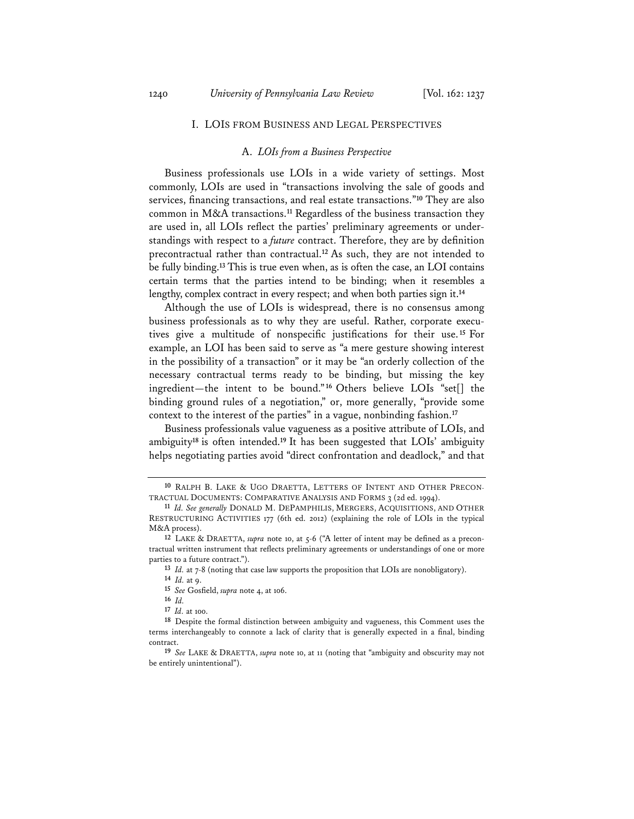#### I. LOIS FROM BUSINESS AND LEGAL PERSPECTIVES

### A. *LOIs from a Business Perspective*

Business professionals use LOIs in a wide variety of settings. Most commonly, LOIs are used in "transactions involving the sale of goods and services, financing transactions, and real estate transactions."**<sup>10</sup>** They are also common in M&A transactions.**<sup>11</sup>** Regardless of the business transaction they are used in, all LOIs reflect the parties' preliminary agreements or understandings with respect to a *future* contract. Therefore, they are by definition precontractual rather than contractual.**<sup>12</sup>** As such, they are not intended to be fully binding.**<sup>13</sup>** This is true even when, as is often the case, an LOI contains certain terms that the parties intend to be binding; when it resembles a lengthy, complex contract in every respect; and when both parties sign it.**<sup>14</sup>**

Although the use of LOIs is widespread, there is no consensus among business professionals as to why they are useful. Rather, corporate executives give a multitude of nonspecific justifications for their use.**<sup>15</sup>** For example, an LOI has been said to serve as "a mere gesture showing interest in the possibility of a transaction" or it may be "an orderly collection of the necessary contractual terms ready to be binding, but missing the key ingredient—the intent to be bound."**<sup>16</sup>** Others believe LOIs "set[] the binding ground rules of a negotiation," or, more generally, "provide some context to the interest of the parties" in a vague, nonbinding fashion.**<sup>17</sup>**

Business professionals value vagueness as a positive attribute of LOIs, and ambiguity**<sup>18</sup>** is often intended.**<sup>19</sup>** It has been suggested that LOIs' ambiguity helps negotiating parties avoid "direct confrontation and deadlock," and that

**<sup>10</sup>** RALPH B. LAKE & UGO DRAETTA, LETTERS OF INTENT AND OTHER PRECON-TRACTUAL DOCUMENTS: COMPARATIVE ANALYSIS AND FORMS 3 (2d ed. 1994).

**<sup>11</sup>** *Id. See generally* DONALD M. DEPAMPHILIS, MERGERS, ACQUISITIONS, AND OTHER RESTRUCTURING ACTIVITIES 177 (6th ed. 2012) (explaining the role of LOIs in the typical M&A process).

**<sup>12</sup>** LAKE & DRAETTA, *supra* note 10, at 5-6 ("A letter of intent may be defined as a precontractual written instrument that reflects preliminary agreements or understandings of one or more parties to a future contract.").

**<sup>13</sup>** *Id.* at 7-8 (noting that case law supports the proposition that LOIs are nonobligatory).

**<sup>14</sup>** *Id.* at 9.

**<sup>15</sup>** *See* Gosfield, *supra* note 4, at 106.

**<sup>16</sup>** *Id.*

**<sup>17</sup>** *Id.* at 100.

**<sup>18</sup>** Despite the formal distinction between ambiguity and vagueness, this Comment uses the terms interchangeably to connote a lack of clarity that is generally expected in a final, binding contract.

**<sup>19</sup>** *See* LAKE & DRAETTA, *supra* note 10, at 11 (noting that "ambiguity and obscurity may not be entirely unintentional").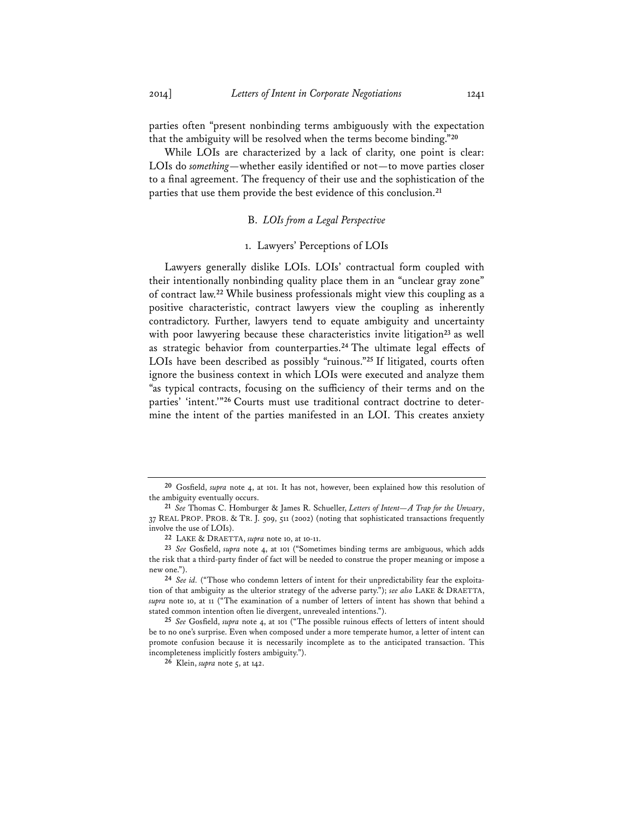parties often "present nonbinding terms ambiguously with the expectation that the ambiguity will be resolved when the terms become binding."**<sup>20</sup>**

While LOIs are characterized by a lack of clarity, one point is clear: LOIs do *something*—whether easily identified or not—to move parties closer to a final agreement. The frequency of their use and the sophistication of the parties that use them provide the best evidence of this conclusion.**<sup>21</sup>**

### B. *LOIs from a Legal Perspective*

### 1. Lawyers' Perceptions of LOIs

Lawyers generally dislike LOIs. LOIs' contractual form coupled with their intentionally nonbinding quality place them in an "unclear gray zone" of contract law.**<sup>22</sup>** While business professionals might view this coupling as a positive characteristic, contract lawyers view the coupling as inherently contradictory. Further, lawyers tend to equate ambiguity and uncertainty with poor lawyering because these characteristics invite litigation<sup>23</sup> as well as strategic behavior from counterparties.**<sup>24</sup>** The ultimate legal effects of LOIs have been described as possibly "ruinous."**<sup>25</sup>** If litigated, courts often ignore the business context in which LOIs were executed and analyze them "as typical contracts, focusing on the sufficiency of their terms and on the parties' 'intent.'"**26** Courts must use traditional contract doctrine to determine the intent of the parties manifested in an LOI. This creates anxiety

**<sup>20</sup>** Gosfield, *supra* note 4, at 101. It has not, however, been explained how this resolution of the ambiguity eventually occurs.

**<sup>21</sup>** *See* Thomas C. Homburger & James R. Schueller, *Letters of Intent—A Trap for the Unwary*, 37 REAL PROP. PROB. & TR. J. 509, 511 (2002) (noting that sophisticated transactions frequently involve the use of LOIs).

**<sup>22</sup>** LAKE & DRAETTA, *supra* note 10, at 10-11.

**<sup>23</sup>** *See* Gosfield, *supra* note 4, at 101 ("Sometimes binding terms are ambiguous, which adds the risk that a third-party finder of fact will be needed to construe the proper meaning or impose a new one.").

**<sup>24</sup>** *See id.* ("Those who condemn letters of intent for their unpredictability fear the exploitation of that ambiguity as the ulterior strategy of the adverse party."); *see also* LAKE & DRAETTA, *supra* note 10, at 11 ("The examination of a number of letters of intent has shown that behind a stated common intention often lie divergent, unrevealed intentions.").

**<sup>25</sup>** *See* Gosfield, *supra* note 4, at 101 ("The possible ruinous effects of letters of intent should be to no one's surprise. Even when composed under a more temperate humor, a letter of intent can promote confusion because it is necessarily incomplete as to the anticipated transaction. This incompleteness implicitly fosters ambiguity.").

**<sup>26</sup>** Klein, *supra* note 5, at 142.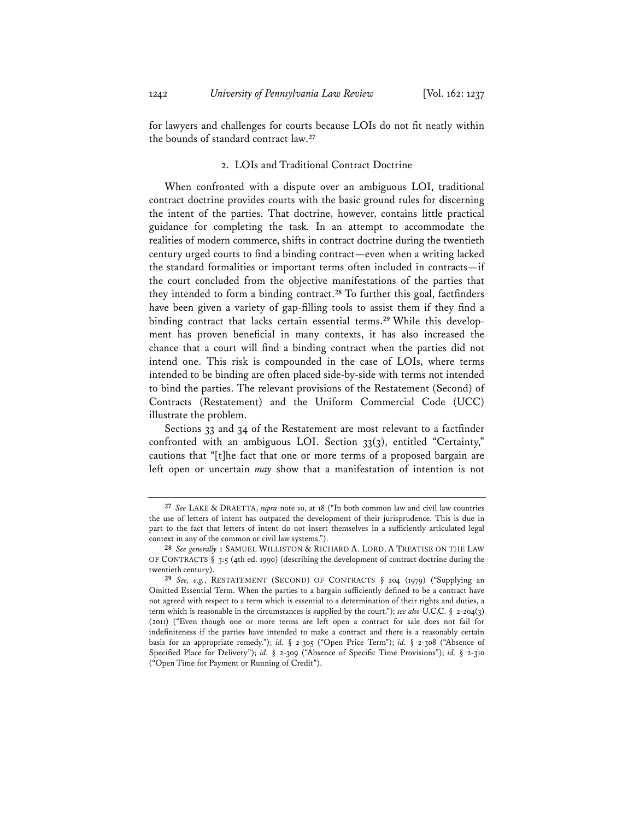for lawyers and challenges for courts because LOIs do not fit neatly within the bounds of standard contract law.**<sup>27</sup>**

## 2. LOIs and Traditional Contract Doctrine

When confronted with a dispute over an ambiguous LOI, traditional contract doctrine provides courts with the basic ground rules for discerning the intent of the parties. That doctrine, however, contains little practical guidance for completing the task. In an attempt to accommodate the realities of modern commerce, shifts in contract doctrine during the twentieth century urged courts to find a binding contract—even when a writing lacked the standard formalities or important terms often included in contracts—if the court concluded from the objective manifestations of the parties that they intended to form a binding contract.**<sup>28</sup>** To further this goal, factfinders have been given a variety of gap-filling tools to assist them if they find a binding contract that lacks certain essential terms.**29** While this development has proven beneficial in many contexts, it has also increased the chance that a court will find a binding contract when the parties did not intend one. This risk is compounded in the case of LOIs, where terms intended to be binding are often placed side-by-side with terms not intended to bind the parties. The relevant provisions of the Restatement (Second) of Contracts (Restatement) and the Uniform Commercial Code (UCC) illustrate the problem.

Sections 33 and 34 of the Restatement are most relevant to a factfinder confronted with an ambiguous LOI. Section 33(3), entitled "Certainty," cautions that "[t]he fact that one or more terms of a proposed bargain are left open or uncertain *may* show that a manifestation of intention is not

**<sup>27</sup>** *See* LAKE & DRAETTA, *supra* note 10, at 18 ("In both common law and civil law countries the use of letters of intent has outpaced the development of their jurisprudence. This is due in part to the fact that letters of intent do not insert themselves in a sufficiently articulated legal context in any of the common or civil law systems.").

**<sup>28</sup>** *See generally* 1 SAMUEL WILLISTON & RICHARD A. LORD, A TREATISE ON THE LAW OF CONTRACTS § 3:5 (4th ed. 1990) (describing the development of contract doctrine during the twentieth century).

**<sup>29</sup>** *See, e.g.*, RESTATEMENT (SECOND) OF CONTRACTS § 204 (1979) ("Supplying an Omitted Essential Term. When the parties to a bargain sufficiently defined to be a contract have not agreed with respect to a term which is essential to a determination of their rights and duties, a term which is reasonable in the circumstances is supplied by the court."); *see also* U.C.C. § 2-204(3) (2011) ("Even though one or more terms are left open a contract for sale does not fail for indefiniteness if the parties have intended to make a contract and there is a reasonably certain basis for an appropriate remedy."); *id.* § 2-305 ("Open Price Term"); *id.* § 2-308 ("Absence of Specified Place for Delivery"); *id.* § 2-309 ("Absence of Specific Time Provisions"); *id.* § 2-310 ("Open Time for Payment or Running of Credit").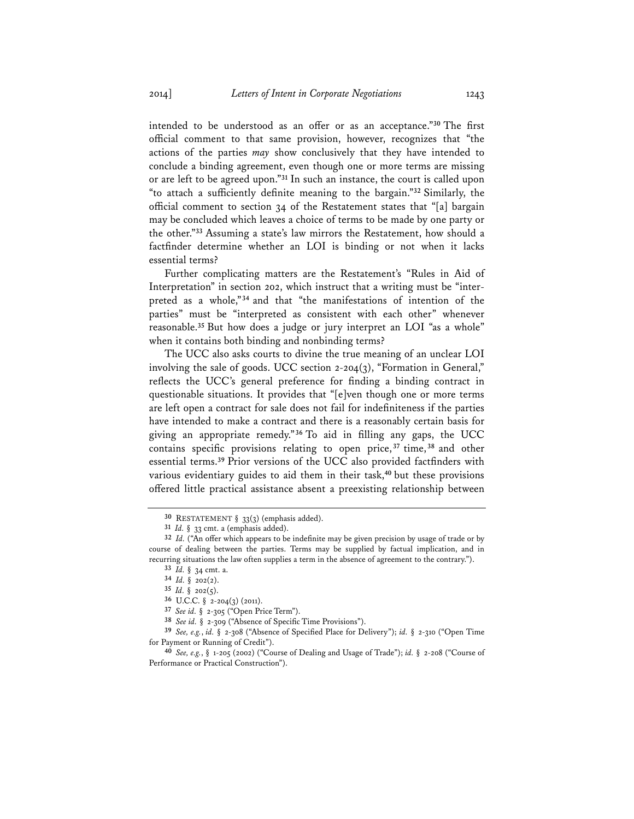intended to be understood as an offer or as an acceptance."**<sup>30</sup>** The first official comment to that same provision, however, recognizes that "the actions of the parties *may* show conclusively that they have intended to conclude a binding agreement, even though one or more terms are missing or are left to be agreed upon."**<sup>31</sup>** In such an instance, the court is called upon "to attach a sufficiently definite meaning to the bargain."**<sup>32</sup>** Similarly, the official comment to section 34 of the Restatement states that "[a] bargain may be concluded which leaves a choice of terms to be made by one party or the other."**<sup>33</sup>** Assuming a state's law mirrors the Restatement, how should a factfinder determine whether an LOI is binding or not when it lacks essential terms?

Further complicating matters are the Restatement's "Rules in Aid of Interpretation" in section 202, which instruct that a writing must be "interpreted as a whole,"**<sup>34</sup>** and that "the manifestations of intention of the parties" must be "interpreted as consistent with each other" whenever reasonable.**<sup>35</sup>** But how does a judge or jury interpret an LOI "as a whole" when it contains both binding and nonbinding terms?

The UCC also asks courts to divine the true meaning of an unclear LOI involving the sale of goods. UCC section  $2-204(3)$ , "Formation in General," reflects the UCC's general preference for finding a binding contract in questionable situations. It provides that "[e]ven though one or more terms are left open a contract for sale does not fail for indefiniteness if the parties have intended to make a contract and there is a reasonably certain basis for giving an appropriate remedy."**<sup>36</sup>** To aid in filling any gaps, the UCC contains specific provisions relating to open price, **<sup>37</sup>** time, **<sup>38</sup>** and other essential terms.**<sup>39</sup>** Prior versions of the UCC also provided factfinders with various evidentiary guides to aid them in their task,**<sup>40</sup>** but these provisions offered little practical assistance absent a preexisting relationship between

**<sup>30</sup>** RESTATEMENT § 33(3) (emphasis added).

**<sup>31</sup>** *Id.* § 33 cmt. a (emphasis added).

**<sup>32</sup>** *Id.* ("An offer which appears to be indefinite may be given precision by usage of trade or by course of dealing between the parties. Terms may be supplied by factual implication, and in recurring situations the law often supplies a term in the absence of agreement to the contrary.").

**<sup>33</sup>** *Id.* § 34 cmt. a.

**<sup>34</sup>** *Id.* § 202(2).

**<sup>35</sup>** *Id.* § 202(5).

**<sup>36</sup>** U.C.C. § 2-204(3) (2011).

**<sup>37</sup>** *See id.* § 2-305 ("Open Price Term").

**<sup>38</sup>** *See id.* § 2-309 ("Absence of Specific Time Provisions").

**<sup>39</sup>** *See, e.g.*, *id.* § 2-308 ("Absence of Specified Place for Delivery"); *id.* § 2-310 ("Open Time for Payment or Running of Credit").

**<sup>40</sup>** *See, e.g.*, § 1-205 (2002) ("Course of Dealing and Usage of Trade"); *id.* § 2-208 ("Course of Performance or Practical Construction").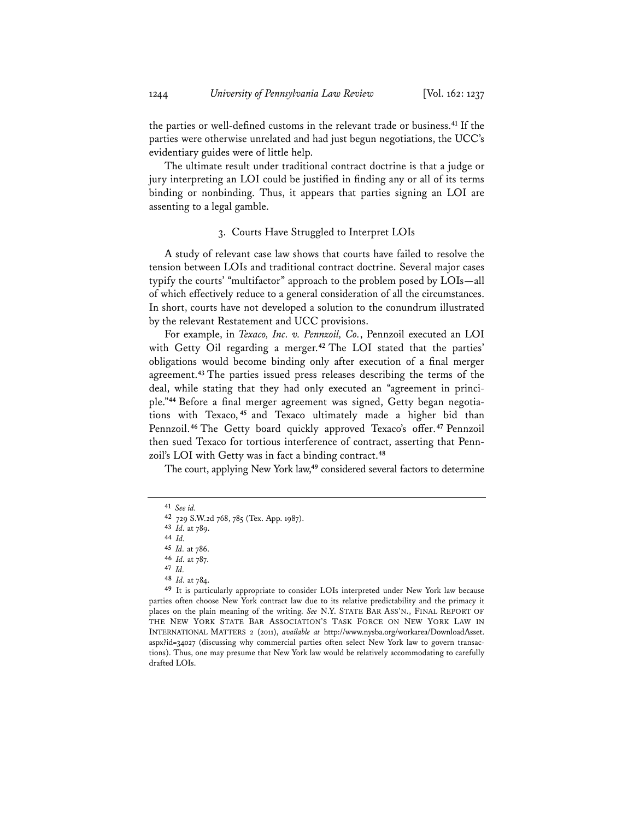the parties or well-defined customs in the relevant trade or business.**<sup>41</sup>** If the parties were otherwise unrelated and had just begun negotiations, the UCC's evidentiary guides were of little help.

The ultimate result under traditional contract doctrine is that a judge or jury interpreting an LOI could be justified in finding any or all of its terms binding or nonbinding. Thus, it appears that parties signing an LOI are assenting to a legal gamble.

### 3. Courts Have Struggled to Interpret LOIs

A study of relevant case law shows that courts have failed to resolve the tension between LOIs and traditional contract doctrine. Several major cases typify the courts' "multifactor" approach to the problem posed by LOIs—all of which effectively reduce to a general consideration of all the circumstances. In short, courts have not developed a solution to the conundrum illustrated by the relevant Restatement and UCC provisions.

For example, in *Texaco, Inc. v. Pennzoil, Co.*, Pennzoil executed an LOI with Getty Oil regarding a merger.**<sup>42</sup>** The LOI stated that the parties' obligations would become binding only after execution of a final merger agreement.**<sup>43</sup>** The parties issued press releases describing the terms of the deal, while stating that they had only executed an "agreement in principle."**44** Before a final merger agreement was signed, Getty began negotiations with Texaco, **<sup>45</sup>** and Texaco ultimately made a higher bid than Pennzoil.**<sup>46</sup>** The Getty board quickly approved Texaco's offer.**<sup>47</sup>** Pennzoil then sued Texaco for tortious interference of contract, asserting that Pennzoil's LOI with Getty was in fact a binding contract.**<sup>48</sup>**

The court, applying New York law,**<sup>49</sup>** considered several factors to determine

**48** *Id.* at 784.

**49** It is particularly appropriate to consider LOIs interpreted under New York law because parties often choose New York contract law due to its relative predictability and the primacy it places on the plain meaning of the writing. *See* N.Y. STATE BAR ASS'N., FINAL REPORT OF THE NEW YORK STATE BAR ASSOCIATION'S TASK FORCE ON NEW YORK LAW IN INTERNATIONAL MATTERS 2 (2011), *available at* http://www.nysba.org/workarea/DownloadAsset. aspx?id=34027 (discussing why commercial parties often select New York law to govern transactions). Thus, one may presume that New York law would be relatively accommodating to carefully drafted LOIs.

**<sup>41</sup>** *See id.* 

**<sup>42</sup>** 729 S.W.2d 768, 785 (Tex. App. 1987).

**<sup>43</sup>** *Id.* at 789.

**<sup>44</sup>** *Id.*

**<sup>45</sup>** *Id.* at 786.

**<sup>46</sup>** *Id.* at 787.

**<sup>47</sup>** *Id.*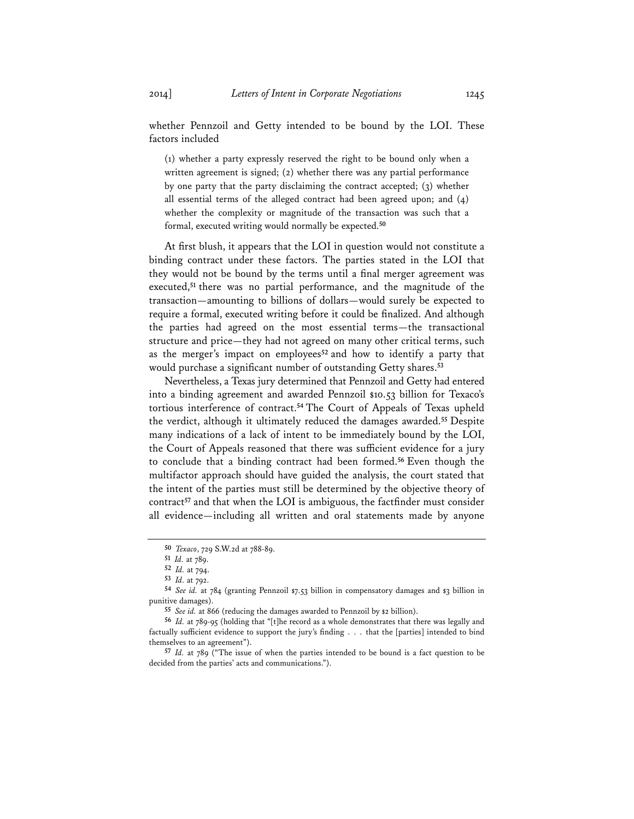whether Pennzoil and Getty intended to be bound by the LOI. These factors included

(1) whether a party expressly reserved the right to be bound only when a written agreement is signed; (2) whether there was any partial performance by one party that the party disclaiming the contract accepted; (3) whether all essential terms of the alleged contract had been agreed upon; and (4) whether the complexity or magnitude of the transaction was such that a formal, executed writing would normally be expected.**<sup>50</sup>**

At first blush, it appears that the LOI in question would not constitute a binding contract under these factors. The parties stated in the LOI that they would not be bound by the terms until a final merger agreement was executed,**<sup>51</sup>** there was no partial performance, and the magnitude of the transaction—amounting to billions of dollars—would surely be expected to require a formal, executed writing before it could be finalized. And although the parties had agreed on the most essential terms—the transactional structure and price—they had not agreed on many other critical terms, such as the merger's impact on employees**<sup>52</sup>** and how to identify a party that would purchase a significant number of outstanding Getty shares.**<sup>53</sup>**

Nevertheless, a Texas jury determined that Pennzoil and Getty had entered into a binding agreement and awarded Pennzoil \$10.53 billion for Texaco's tortious interference of contract.**<sup>54</sup>** The Court of Appeals of Texas upheld the verdict, although it ultimately reduced the damages awarded.**<sup>55</sup>** Despite many indications of a lack of intent to be immediately bound by the LOI, the Court of Appeals reasoned that there was sufficient evidence for a jury to conclude that a binding contract had been formed.**<sup>56</sup>** Even though the multifactor approach should have guided the analysis, the court stated that the intent of the parties must still be determined by the objective theory of contract**<sup>57</sup>** and that when the LOI is ambiguous, the factfinder must consider all evidence—including all written and oral statements made by anyone

**<sup>50</sup>** *Texaco*, 729 S.W.2d at 788-89.

**<sup>51</sup>** *Id.* at 789.

**<sup>52</sup>** *Id.* at 794.

**<sup>53</sup>** *Id.* at 792.

**<sup>54</sup>** *See id.* at 784 (granting Pennzoil \$7.53 billion in compensatory damages and \$3 billion in punitive damages).

**<sup>55</sup>** *See id.* at 866 (reducing the damages awarded to Pennzoil by \$2 billion).

**<sup>56</sup>** *Id.* at 789-95 (holding that "[t]he record as a whole demonstrates that there was legally and factually sufficient evidence to support the jury's finding . . . that the [parties] intended to bind themselves to an agreement").

**<sup>57</sup>** *Id.* at 789 ("The issue of when the parties intended to be bound is a fact question to be decided from the parties' acts and communications.").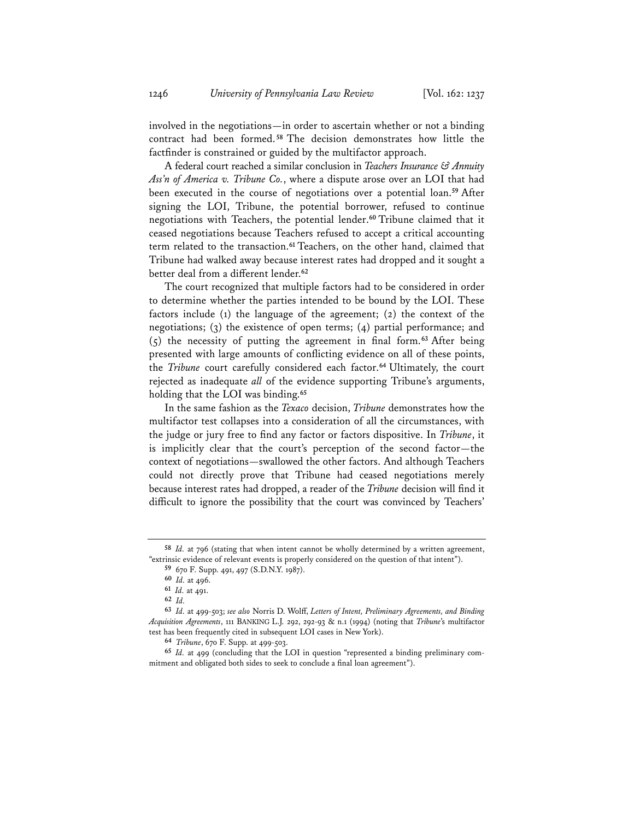involved in the negotiations—in order to ascertain whether or not a binding contract had been formed. **<sup>58</sup>** The decision demonstrates how little the factfinder is constrained or guided by the multifactor approach.

A federal court reached a similar conclusion in *Teachers Insurance & Annuity Ass'n of America v. Tribune Co.*, where a dispute arose over an LOI that had been executed in the course of negotiations over a potential loan.**<sup>59</sup>** After signing the LOI, Tribune, the potential borrower, refused to continue negotiations with Teachers, the potential lender.**<sup>60</sup>** Tribune claimed that it ceased negotiations because Teachers refused to accept a critical accounting term related to the transaction.**<sup>61</sup>** Teachers, on the other hand, claimed that Tribune had walked away because interest rates had dropped and it sought a better deal from a different lender.**<sup>62</sup>**

The court recognized that multiple factors had to be considered in order to determine whether the parties intended to be bound by the LOI. These factors include (1) the language of the agreement; (2) the context of the negotiations; (3) the existence of open terms; (4) partial performance; and (5) the necessity of putting the agreement in final form.**<sup>63</sup>** After being presented with large amounts of conflicting evidence on all of these points, the *Tribune* court carefully considered each factor.**<sup>64</sup>** Ultimately, the court rejected as inadequate *all* of the evidence supporting Tribune's arguments, holding that the LOI was binding.**<sup>65</sup>**

In the same fashion as the *Texaco* decision, *Tribune* demonstrates how the multifactor test collapses into a consideration of all the circumstances, with the judge or jury free to find any factor or factors dispositive. In *Tribune*, it is implicitly clear that the court's perception of the second factor—the context of negotiations—swallowed the other factors. And although Teachers could not directly prove that Tribune had ceased negotiations merely because interest rates had dropped, a reader of the *Tribune* decision will find it difficult to ignore the possibility that the court was convinced by Teachers'

**<sup>58</sup>** *Id.* at 796 (stating that when intent cannot be wholly determined by a written agreement, "extrinsic evidence of relevant events is properly considered on the question of that intent"). **59** 670 F. Supp. 491, 497 (S.D.N.Y. 1987).

**<sup>60</sup>** *Id.* at 496.

**<sup>61</sup>** *Id.* at 491.

**<sup>62</sup>** *Id.*

**<sup>63</sup>** *Id.* at 499-503; *see also* Norris D. Wolff, *Letters of Intent, Preliminary Agreements, and Binding Acquisition Agreements*, 111 BANKING L.J. 292, 292-93 & n.1 (1994) (noting that *Tribune*'s multifactor test has been frequently cited in subsequent LOI cases in New York).

**<sup>64</sup>** *Tribune*, 670 F. Supp. at 499-503.

**<sup>65</sup>** *Id.* at 499 (concluding that the LOI in question "represented a binding preliminary commitment and obligated both sides to seek to conclude a final loan agreement").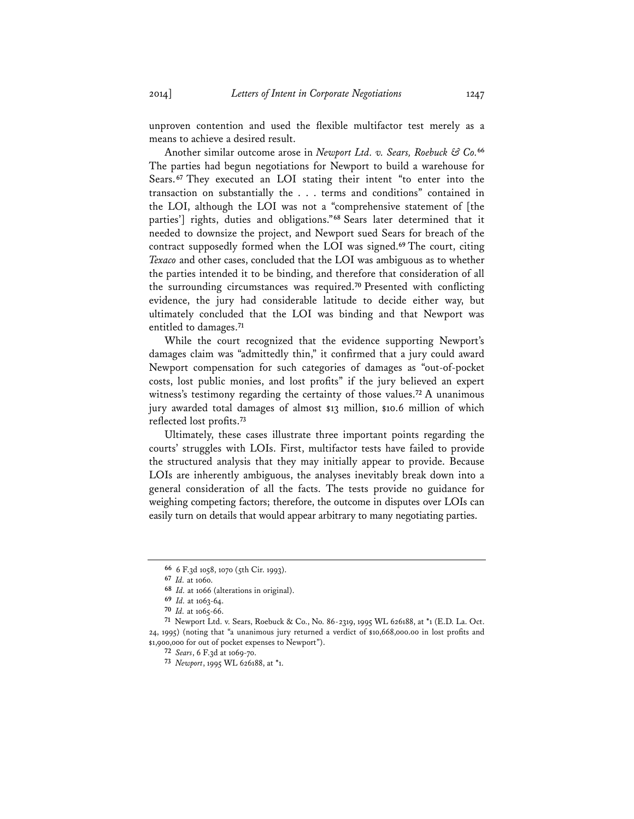unproven contention and used the flexible multifactor test merely as a means to achieve a desired result.

Another similar outcome arose in *Newport Ltd. v. Sears, Roebuck & Co.***<sup>66</sup>** The parties had begun negotiations for Newport to build a warehouse for Sears.**<sup>67</sup>** They executed an LOI stating their intent "to enter into the transaction on substantially the . . . terms and conditions" contained in the LOI, although the LOI was not a "comprehensive statement of [the parties'] rights, duties and obligations."**<sup>68</sup>** Sears later determined that it needed to downsize the project, and Newport sued Sears for breach of the contract supposedly formed when the LOI was signed.**<sup>69</sup>** The court, citing *Texaco* and other cases, concluded that the LOI was ambiguous as to whether the parties intended it to be binding, and therefore that consideration of all the surrounding circumstances was required.**<sup>70</sup>** Presented with conflicting evidence, the jury had considerable latitude to decide either way, but ultimately concluded that the LOI was binding and that Newport was entitled to damages.**<sup>71</sup>**

While the court recognized that the evidence supporting Newport's damages claim was "admittedly thin," it confirmed that a jury could award Newport compensation for such categories of damages as "out-of-pocket costs, lost public monies, and lost profits" if the jury believed an expert witness's testimony regarding the certainty of those values.**<sup>72</sup>** A unanimous jury awarded total damages of almost \$13 million, \$10.6 million of which reflected lost profits.**<sup>73</sup>**

Ultimately, these cases illustrate three important points regarding the courts' struggles with LOIs. First, multifactor tests have failed to provide the structured analysis that they may initially appear to provide. Because LOIs are inherently ambiguous, the analyses inevitably break down into a general consideration of all the facts. The tests provide no guidance for weighing competing factors; therefore, the outcome in disputes over LOIs can easily turn on details that would appear arbitrary to many negotiating parties.

**<sup>66</sup>** 6 F.3d 1058, 1070 (5th Cir. 1993).

**<sup>67</sup>** *Id.* at 1060.

**<sup>68</sup>** *Id.* at 1066 (alterations in original).

**<sup>69</sup>** *Id.* at 1063-64.

**<sup>70</sup>** *Id.* at 1065-66.

**<sup>71</sup>** Newport Ltd. v. Sears, Roebuck & Co., No. 86-2319, 1995 WL 626188, at \*1 (E.D. La. Oct. 24, 1995) (noting that "a unanimous jury returned a verdict of \$10,668,000.00 in lost profits and \$1,900,000 for out of pocket expenses to Newport").

**<sup>72</sup>** *Sears*, 6 F.3d at 1069-70.

**<sup>73</sup>** *Newport*, 1995 WL 626188, at \*1.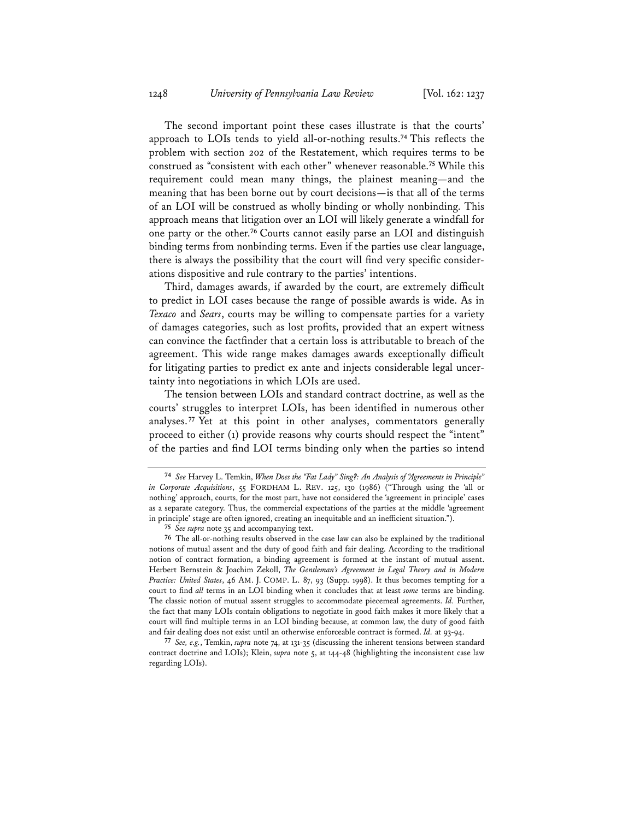The second important point these cases illustrate is that the courts' approach to LOIs tends to yield all-or-nothing results.**<sup>74</sup>** This reflects the problem with section 202 of the Restatement, which requires terms to be construed as "consistent with each other" whenever reasonable.**<sup>75</sup>** While this requirement could mean many things, the plainest meaning—and the meaning that has been borne out by court decisions—is that all of the terms of an LOI will be construed as wholly binding or wholly nonbinding. This approach means that litigation over an LOI will likely generate a windfall for one party or the other.**<sup>76</sup>** Courts cannot easily parse an LOI and distinguish binding terms from nonbinding terms. Even if the parties use clear language, there is always the possibility that the court will find very specific considerations dispositive and rule contrary to the parties' intentions.

Third, damages awards, if awarded by the court, are extremely difficult to predict in LOI cases because the range of possible awards is wide. As in *Texaco* and *Sears*, courts may be willing to compensate parties for a variety of damages categories, such as lost profits, provided that an expert witness can convince the factfinder that a certain loss is attributable to breach of the agreement. This wide range makes damages awards exceptionally difficult for litigating parties to predict ex ante and injects considerable legal uncertainty into negotiations in which LOIs are used.

The tension between LOIs and standard contract doctrine, as well as the courts' struggles to interpret LOIs, has been identified in numerous other analyses. **<sup>77</sup>** Yet at this point in other analyses, commentators generally proceed to either (1) provide reasons why courts should respect the "intent" of the parties and find LOI terms binding only when the parties so intend

**77** *See, e.g.*, Temkin, *supra* note 74, at 131-35 (discussing the inherent tensions between standard contract doctrine and LOIs); Klein, *supra* note 5, at 144-48 (highlighting the inconsistent case law regarding LOIs).

**<sup>74</sup>** *See* Harvey L. Temkin, *When Does the "Fat Lady" Sing?: An Analysis of "Agreements in Principle" in Corporate Acquisitions*, 55 FORDHAM L. REV. 125, 130 (1986) ("Through using the 'all or nothing' approach, courts, for the most part, have not considered the 'agreement in principle' cases as a separate category. Thus, the commercial expectations of the parties at the middle 'agreement in principle' stage are often ignored, creating an inequitable and an inefficient situation.").

**<sup>75</sup>** *See supra* note 35 and accompanying text.

**<sup>76</sup>** The all-or-nothing results observed in the case law can also be explained by the traditional notions of mutual assent and the duty of good faith and fair dealing. According to the traditional notion of contract formation, a binding agreement is formed at the instant of mutual assent. Herbert Bernstein & Joachim Zekoll, *The Gentleman's Agreement in Legal Theory and in Modern Practice: United States*, 46 AM. J. COMP. L. 87, 93 (Supp. 1998). It thus becomes tempting for a court to find *all* terms in an LOI binding when it concludes that at least *some* terms are binding. The classic notion of mutual assent struggles to accommodate piecemeal agreements. *Id.* Further, the fact that many LOIs contain obligations to negotiate in good faith makes it more likely that a court will find multiple terms in an LOI binding because, at common law, the duty of good faith and fair dealing does not exist until an otherwise enforceable contract is formed. *Id.* at 93-94.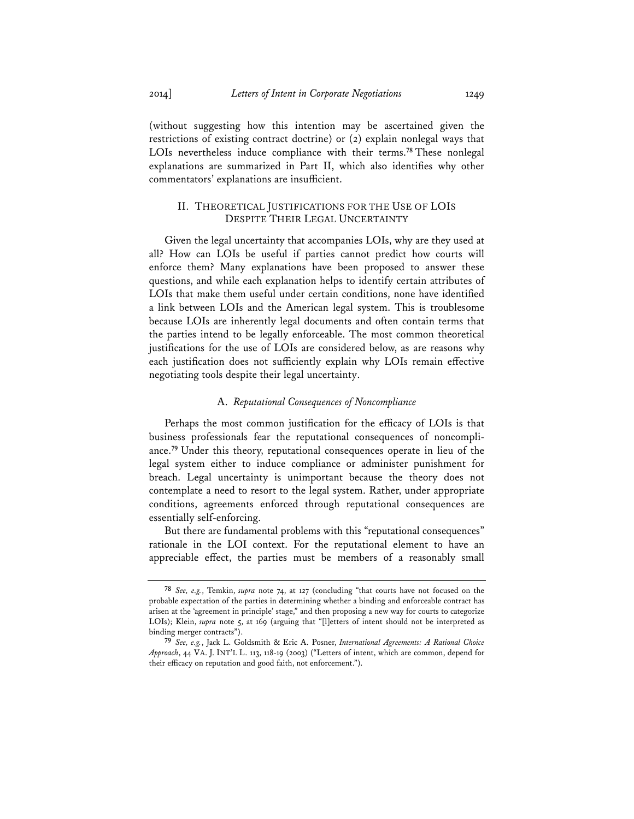(without suggesting how this intention may be ascertained given the restrictions of existing contract doctrine) or (2) explain nonlegal ways that LOIs nevertheless induce compliance with their terms.**<sup>78</sup>** These nonlegal explanations are summarized in Part II, which also identifies why other commentators' explanations are insufficient.

### II. THEORETICAL JUSTIFICATIONS FOR THE USE OF LOIS DESPITE THEIR LEGAL UNCERTAINTY

Given the legal uncertainty that accompanies LOIs, why are they used at all? How can LOIs be useful if parties cannot predict how courts will enforce them? Many explanations have been proposed to answer these questions, and while each explanation helps to identify certain attributes of LOIs that make them useful under certain conditions, none have identified a link between LOIs and the American legal system. This is troublesome because LOIs are inherently legal documents and often contain terms that the parties intend to be legally enforceable. The most common theoretical justifications for the use of LOIs are considered below, as are reasons why each justification does not sufficiently explain why LOIs remain effective negotiating tools despite their legal uncertainty.

# A. *Reputational Consequences of Noncompliance*

Perhaps the most common justification for the efficacy of LOIs is that business professionals fear the reputational consequences of noncompliance.**<sup>79</sup>** Under this theory, reputational consequences operate in lieu of the legal system either to induce compliance or administer punishment for breach. Legal uncertainty is unimportant because the theory does not contemplate a need to resort to the legal system. Rather, under appropriate conditions, agreements enforced through reputational consequences are essentially self-enforcing.

But there are fundamental problems with this "reputational consequences" rationale in the LOI context. For the reputational element to have an appreciable effect, the parties must be members of a reasonably small

**<sup>78</sup>** *See, e.g.*, Temkin, *supra* note 74, at 127 (concluding "that courts have not focused on the probable expectation of the parties in determining whether a binding and enforceable contract has arisen at the 'agreement in principle' stage," and then proposing a new way for courts to categorize LOIs); Klein, *supra* note 5, at 169 (arguing that "[l]etters of intent should not be interpreted as binding merger contracts").

**<sup>79</sup>** *See, e.g.*, Jack L. Goldsmith & Eric A. Posner, *International Agreements: A Rational Choice Approach*, 44 VA. J. INT'L L. 113, 118-19 (2003) ("Letters of intent, which are common, depend for their efficacy on reputation and good faith, not enforcement.").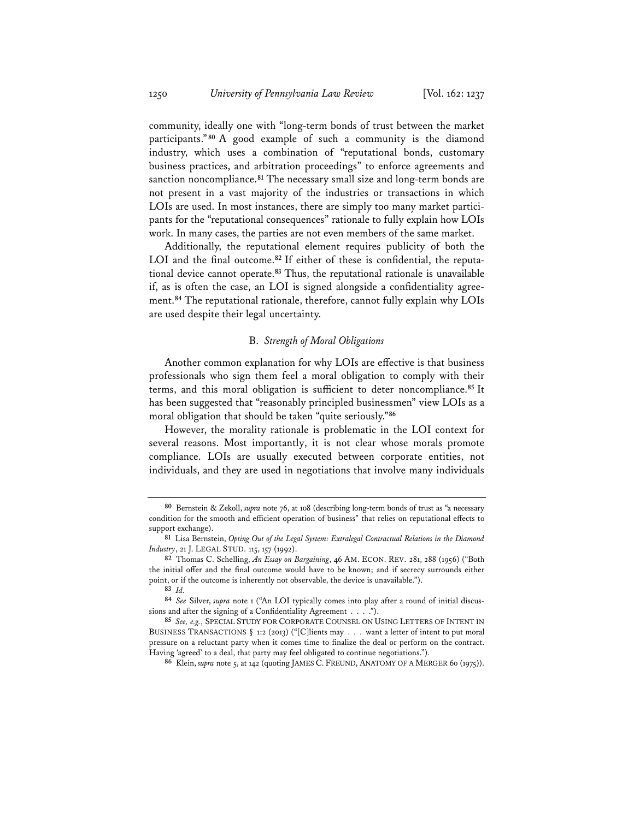community, ideally one with "long-term bonds of trust between the market participants." **<sup>80</sup>** A good example of such a community is the diamond industry, which uses a combination of "reputational bonds, customary business practices, and arbitration proceedings" to enforce agreements and sanction noncompliance.**<sup>81</sup>** The necessary small size and long-term bonds are not present in a vast majority of the industries or transactions in which LOIs are used. In most instances, there are simply too many market participants for the "reputational consequences" rationale to fully explain how LOIs work. In many cases, the parties are not even members of the same market.

Additionally, the reputational element requires publicity of both the LOI and the final outcome.**82** If either of these is confidential, the reputational device cannot operate.**<sup>83</sup>** Thus, the reputational rationale is unavailable if, as is often the case, an LOI is signed alongside a confidentiality agreement.**<sup>84</sup>** The reputational rationale, therefore, cannot fully explain why LOIs are used despite their legal uncertainty.

### B. *Strength of Moral Obligations*

Another common explanation for why LOIs are effective is that business professionals who sign them feel a moral obligation to comply with their terms, and this moral obligation is sufficient to deter noncompliance.**<sup>85</sup>** It has been suggested that "reasonably principled businessmen" view LOIs as a moral obligation that should be taken "quite seriously."**<sup>86</sup>**

However, the morality rationale is problematic in the LOI context for several reasons. Most importantly, it is not clear whose morals promote compliance. LOIs are usually executed between corporate entities, not individuals, and they are used in negotiations that involve many individuals

**<sup>80</sup>** Bernstein & Zekoll, *supra* note 76, at 108 (describing long-term bonds of trust as "a necessary condition for the smooth and efficient operation of business" that relies on reputational effects to support exchange).

**<sup>81</sup>** Lisa Bernstein, *Opting Out of the Legal System: Extralegal Contractual Relations in the Diamond Industry*, 21 J. LEGAL STUD. 115, 157 (1992).

**<sup>82</sup>** Thomas C. Schelling, *An Essay on Bargaining*, 46 AM. ECON. REV. 281, 288 (1956) ("Both the initial offer and the final outcome would have to be known; and if secrecy surrounds either point, or if the outcome is inherently not observable, the device is unavailable.").

**<sup>83</sup>** *Id.*

**<sup>84</sup>** *See* Silver, *supra* note 1 ("An LOI typically comes into play after a round of initial discussions and after the signing of a Confidentiality Agreement . . . .").

**<sup>85</sup>** *See, e.g.*, SPECIAL STUDY FOR CORPORATE COUNSEL ON USING LETTERS OF INTENT IN BUSINESS TRANSACTIONS § 1:2 (2013) ("[C]lients may . . . want a letter of intent to put moral pressure on a reluctant party when it comes time to finalize the deal or perform on the contract. Having 'agreed' to a deal, that party may feel obligated to continue negotiations.").

**<sup>86</sup>** Klein, *supra* note 5, at 142 (quoting JAMES C. FREUND, ANATOMY OF A MERGER 60 (1975)).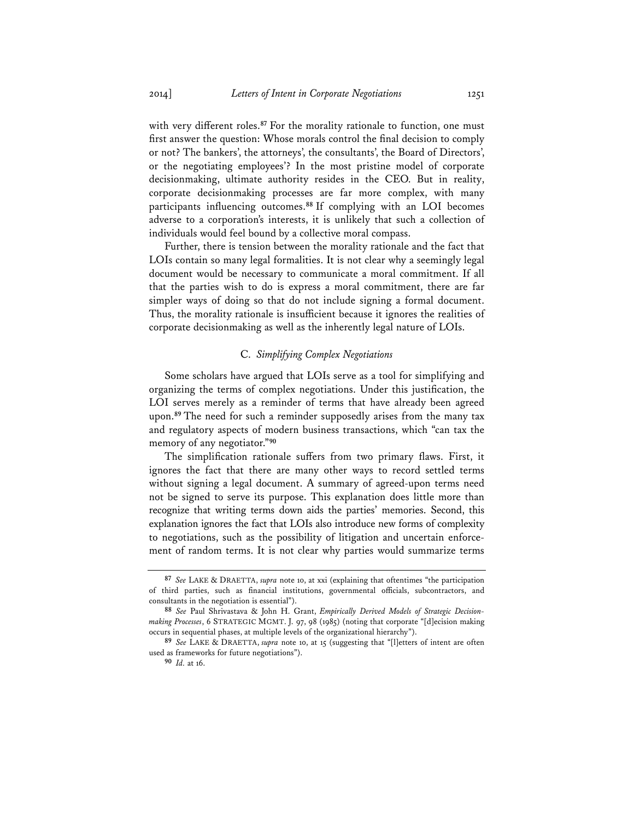with very different roles.**<sup>87</sup>** For the morality rationale to function, one must first answer the question: Whose morals control the final decision to comply or not? The bankers', the attorneys', the consultants', the Board of Directors', or the negotiating employees'? In the most pristine model of corporate decisionmaking, ultimate authority resides in the CEO. But in reality, corporate decisionmaking processes are far more complex, with many participants influencing outcomes.**<sup>88</sup>** If complying with an LOI becomes adverse to a corporation's interests, it is unlikely that such a collection of individuals would feel bound by a collective moral compass.

Further, there is tension between the morality rationale and the fact that LOIs contain so many legal formalities. It is not clear why a seemingly legal document would be necessary to communicate a moral commitment. If all that the parties wish to do is express a moral commitment, there are far simpler ways of doing so that do not include signing a formal document. Thus, the morality rationale is insufficient because it ignores the realities of corporate decisionmaking as well as the inherently legal nature of LOIs.

### C. *Simplifying Complex Negotiations*

Some scholars have argued that LOIs serve as a tool for simplifying and organizing the terms of complex negotiations. Under this justification, the LOI serves merely as a reminder of terms that have already been agreed upon.**<sup>89</sup>** The need for such a reminder supposedly arises from the many tax and regulatory aspects of modern business transactions, which "can tax the memory of any negotiator."**<sup>90</sup>**

The simplification rationale suffers from two primary flaws. First, it ignores the fact that there are many other ways to record settled terms without signing a legal document. A summary of agreed-upon terms need not be signed to serve its purpose. This explanation does little more than recognize that writing terms down aids the parties' memories. Second, this explanation ignores the fact that LOIs also introduce new forms of complexity to negotiations, such as the possibility of litigation and uncertain enforcement of random terms. It is not clear why parties would summarize terms

**<sup>87</sup>** *See* LAKE & DRAETTA, *supra* note 10, at xxi (explaining that oftentimes "the participation of third parties, such as financial institutions, governmental officials, subcontractors, and consultants in the negotiation is essential").

**<sup>88</sup>** *See* Paul Shrivastava & John H. Grant, *Empirically Derived Models of Strategic Decisionmaking Processes*, 6 STRATEGIC MGMT. J. 97, 98 (1985) (noting that corporate "[d]ecision making occurs in sequential phases, at multiple levels of the organizational hierarchy").

**<sup>89</sup>** *See* LAKE & DRAETTA, *supra* note 10, at 15 (suggesting that "[l]etters of intent are often used as frameworks for future negotiations").

**<sup>90</sup>** *Id.* at 16.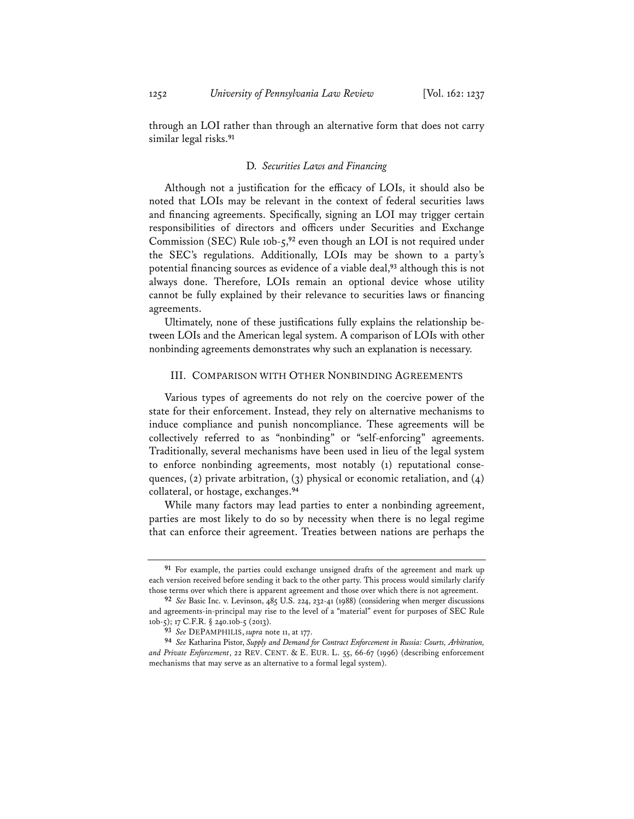through an LOI rather than through an alternative form that does not carry similar legal risks.**<sup>91</sup>**

### D. *Securities Laws and Financing*

Although not a justification for the efficacy of LOIs, it should also be noted that LOIs may be relevant in the context of federal securities laws and financing agreements. Specifically, signing an LOI may trigger certain responsibilities of directors and officers under Securities and Exchange Commission (SEC) Rule 10b-5,**<sup>92</sup>** even though an LOI is not required under the SEC's regulations. Additionally, LOIs may be shown to a party's potential financing sources as evidence of a viable deal,**<sup>93</sup>** although this is not always done. Therefore, LOIs remain an optional device whose utility cannot be fully explained by their relevance to securities laws or financing agreements.

Ultimately, none of these justifications fully explains the relationship between LOIs and the American legal system. A comparison of LOIs with other nonbinding agreements demonstrates why such an explanation is necessary.

### III. COMPARISON WITH OTHER NONBINDING AGREEMENTS

Various types of agreements do not rely on the coercive power of the state for their enforcement. Instead, they rely on alternative mechanisms to induce compliance and punish noncompliance. These agreements will be collectively referred to as "nonbinding" or "self-enforcing" agreements. Traditionally, several mechanisms have been used in lieu of the legal system to enforce nonbinding agreements, most notably (1) reputational consequences, (2) private arbitration, (3) physical or economic retaliation, and (4) collateral, or hostage, exchanges.**<sup>94</sup>**

While many factors may lead parties to enter a nonbinding agreement, parties are most likely to do so by necessity when there is no legal regime that can enforce their agreement. Treaties between nations are perhaps the

**<sup>91</sup>** For example, the parties could exchange unsigned drafts of the agreement and mark up each version received before sending it back to the other party. This process would similarly clarify those terms over which there is apparent agreement and those over which there is not agreement.

**<sup>92</sup>** *See* Basic Inc. v. Levinson, 485 U.S. 224, 232-41 (1988) (considering when merger discussions and agreements-in-principal may rise to the level of a "material" event for purposes of SEC Rule 10b-5); 17 C.F.R. § 240.10b-5 (2013).

**<sup>93</sup>** *See* DEPAMPHILIS, *supra* note 11, at 177.

**<sup>94</sup>** *See* Katharina Pistor, *Supply and Demand for Contract Enforcement in Russia: Courts, Arbitration, and Private Enforcement*, 22 REV. CENT. & E. EUR. L. 55, 66-67 (1996) (describing enforcement mechanisms that may serve as an alternative to a formal legal system).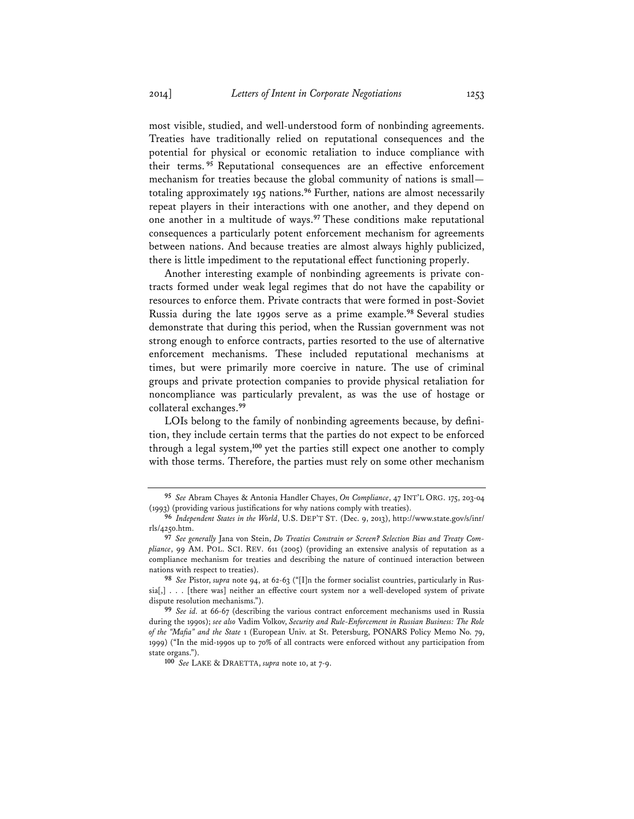most visible, studied, and well-understood form of nonbinding agreements. Treaties have traditionally relied on reputational consequences and the potential for physical or economic retaliation to induce compliance with their terms. **<sup>95</sup>** Reputational consequences are an effective enforcement mechanism for treaties because the global community of nations is small totaling approximately 195 nations.**<sup>96</sup>** Further, nations are almost necessarily repeat players in their interactions with one another, and they depend on one another in a multitude of ways.**<sup>97</sup>** These conditions make reputational consequences a particularly potent enforcement mechanism for agreements between nations. And because treaties are almost always highly publicized, there is little impediment to the reputational effect functioning properly.

Another interesting example of nonbinding agreements is private contracts formed under weak legal regimes that do not have the capability or resources to enforce them. Private contracts that were formed in post-Soviet Russia during the late 1990s serve as a prime example.**<sup>98</sup>** Several studies demonstrate that during this period, when the Russian government was not strong enough to enforce contracts, parties resorted to the use of alternative enforcement mechanisms. These included reputational mechanisms at times, but were primarily more coercive in nature. The use of criminal groups and private protection companies to provide physical retaliation for noncompliance was particularly prevalent, as was the use of hostage or collateral exchanges.**<sup>99</sup>**

LOIs belong to the family of nonbinding agreements because, by definition, they include certain terms that the parties do not expect to be enforced through a legal system,**<sup>100</sup>** yet the parties still expect one another to comply with those terms. Therefore, the parties must rely on some other mechanism

**<sup>95</sup>** *See* Abram Chayes & Antonia Handler Chayes, *On Compliance*, 47 INT'L ORG. 175, 203-04 (1993) (providing various justifications for why nations comply with treaties).

**<sup>96</sup>** *Independent States in the World*, U.S. DEP'T ST. (Dec. 9, 2013), http://www.state.gov/s/inr/ rls/4250.htm.

**<sup>97</sup>** *See generally* Jana von Stein, *Do Treaties Constrain or Screen? Selection Bias and Treaty Compliance*, 99 AM. POL. SCI. REV. 611 (2005) (providing an extensive analysis of reputation as a compliance mechanism for treaties and describing the nature of continued interaction between nations with respect to treaties).

**<sup>98</sup>** *See* Pistor, *supra* note 94, at 62-63 ("[I]n the former socialist countries, particularly in Russia[,] . . . [there was] neither an effective court system nor a well-developed system of private dispute resolution mechanisms.").

**<sup>99</sup>** *See id.* at 66-67 (describing the various contract enforcement mechanisms used in Russia during the 1990s); *see also* Vadim Volkov, *Security and Rule-Enforcement in Russian Business: The Role of the "Mafia" and the State* 1 (European Univ. at St. Petersburg, PONARS Policy Memo No. 79, 1999) ("In the mid-1990s up to 70% of all contracts were enforced without any participation from state organs.").

**<sup>100</sup>** *See* LAKE & DRAETTA, *supra* note 10, at 7-9.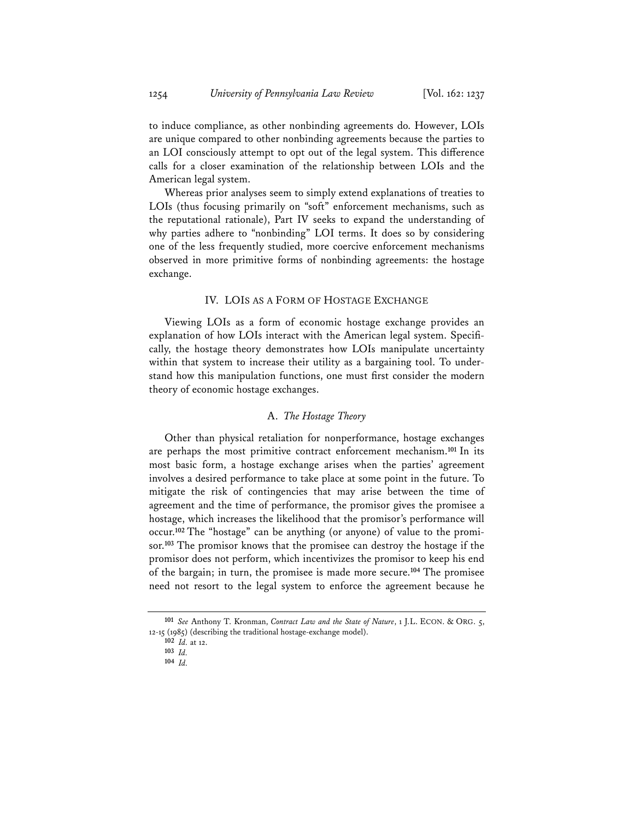to induce compliance, as other nonbinding agreements do. However, LOIs are unique compared to other nonbinding agreements because the parties to an LOI consciously attempt to opt out of the legal system. This difference calls for a closer examination of the relationship between LOIs and the American legal system.

Whereas prior analyses seem to simply extend explanations of treaties to LOIs (thus focusing primarily on "soft" enforcement mechanisms, such as the reputational rationale), Part IV seeks to expand the understanding of why parties adhere to "nonbinding" LOI terms. It does so by considering one of the less frequently studied, more coercive enforcement mechanisms observed in more primitive forms of nonbinding agreements: the hostage exchange.

## IV. LOIS AS A FORM OF HOSTAGE EXCHANGE

Viewing LOIs as a form of economic hostage exchange provides an explanation of how LOIs interact with the American legal system. Specifically, the hostage theory demonstrates how LOIs manipulate uncertainty within that system to increase their utility as a bargaining tool. To understand how this manipulation functions, one must first consider the modern theory of economic hostage exchanges.

### A. *The Hostage Theory*

Other than physical retaliation for nonperformance, hostage exchanges are perhaps the most primitive contract enforcement mechanism.**<sup>101</sup>** In its most basic form, a hostage exchange arises when the parties' agreement involves a desired performance to take place at some point in the future. To mitigate the risk of contingencies that may arise between the time of agreement and the time of performance, the promisor gives the promisee a hostage, which increases the likelihood that the promisor's performance will occur.**102** The "hostage" can be anything (or anyone) of value to the promisor.**<sup>103</sup>** The promisor knows that the promisee can destroy the hostage if the promisor does not perform, which incentivizes the promisor to keep his end of the bargain; in turn, the promisee is made more secure.**<sup>104</sup>** The promisee need not resort to the legal system to enforce the agreement because he

**<sup>101</sup>** *See* Anthony T. Kronman, *Contract Law and the State of Nature*, 1 J.L. ECON. & ORG. 5, 12-15 (1985) (describing the traditional hostage-exchange model).

**<sup>102</sup>** *Id.* at 12.

**<sup>103</sup>** *Id.*

**<sup>104</sup>** *Id.*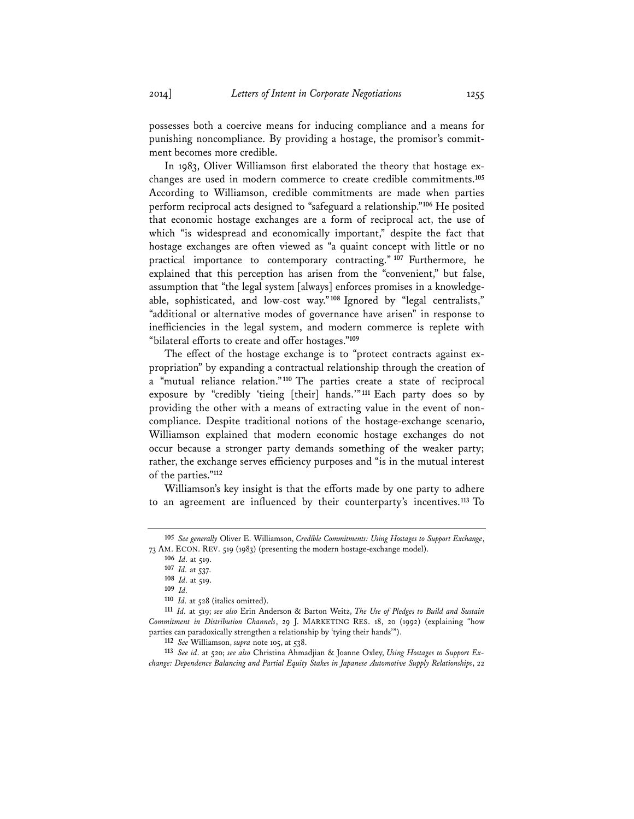possesses both a coercive means for inducing compliance and a means for punishing noncompliance. By providing a hostage, the promisor's commitment becomes more credible.

In 1983, Oliver Williamson first elaborated the theory that hostage exchanges are used in modern commerce to create credible commitments.**<sup>105</sup>** According to Williamson, credible commitments are made when parties perform reciprocal acts designed to "safeguard a relationship."**<sup>106</sup>** He posited that economic hostage exchanges are a form of reciprocal act, the use of which "is widespread and economically important," despite the fact that hostage exchanges are often viewed as "a quaint concept with little or no practical importance to contemporary contracting." **<sup>107</sup>** Furthermore, he explained that this perception has arisen from the "convenient," but false, assumption that "the legal system [always] enforces promises in a knowledgeable, sophisticated, and low-cost way."**<sup>108</sup>** Ignored by "legal centralists," "additional or alternative modes of governance have arisen" in response to inefficiencies in the legal system, and modern commerce is replete with "bilateral efforts to create and offer hostages."**<sup>109</sup>**

The effect of the hostage exchange is to "protect contracts against expropriation" by expanding a contractual relationship through the creation of a "mutual reliance relation."**<sup>110</sup>** The parties create a state of reciprocal exposure by "credibly 'tieing [their] hands.'"**<sup>111</sup>** Each party does so by providing the other with a means of extracting value in the event of noncompliance. Despite traditional notions of the hostage-exchange scenario, Williamson explained that modern economic hostage exchanges do not occur because a stronger party demands something of the weaker party; rather, the exchange serves efficiency purposes and "is in the mutual interest of the parties."**<sup>112</sup>**

Williamson's key insight is that the efforts made by one party to adhere to an agreement are influenced by their counterparty's incentives.**<sup>113</sup>** To

**<sup>105</sup>** *See generally* Oliver E. Williamson, *Credible Commitments: Using Hostages to Support Exchange*, 73 AM. ECON. REV. 519 (1983) (presenting the modern hostage-exchange model).

**<sup>106</sup>** *Id.* at 519.

**<sup>107</sup>** *Id.* at 537.

**<sup>108</sup>** *Id.* at 519.

**<sup>109</sup>** *Id.*

**<sup>110</sup>** *Id.* at 528 (italics omitted).

**<sup>111</sup>** *Id.* at 519; *see also* Erin Anderson & Barton Weitz, *The Use of Pledges to Build and Sustain Commitment in Distribution Channels*, 29 J. MARKETING RES. 18, 20 (1992) (explaining "how parties can paradoxically strengthen a relationship by 'tying their hands'").

**<sup>112</sup>** *See* Williamson, *supra* note 105, at 538.

**<sup>113</sup>** *See id*. at 520; *see also* Christina Ahmadjian & Joanne Oxley, *Using Hostages to Support Exchange: Dependence Balancing and Partial Equity Stakes in Japanese Automotive Supply Relationships*, 22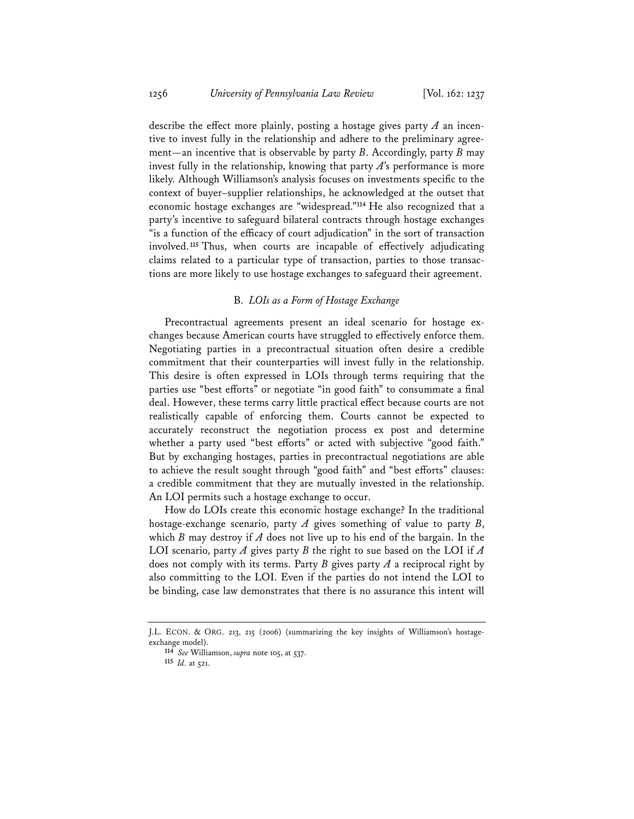describe the effect more plainly, posting a hostage gives party *A* an incentive to invest fully in the relationship and adhere to the preliminary agreement—an incentive that is observable by party *B*. Accordingly, party *B* may invest fully in the relationship, knowing that party *A*'s performance is more likely. Although Williamson's analysis focuses on investments specific to the context of buyer–supplier relationships, he acknowledged at the outset that economic hostage exchanges are "widespread."**<sup>114</sup>** He also recognized that a party's incentive to safeguard bilateral contracts through hostage exchanges "is a function of the efficacy of court adjudication" in the sort of transaction involved.**<sup>115</sup>** Thus, when courts are incapable of effectively adjudicating claims related to a particular type of transaction, parties to those transactions are more likely to use hostage exchanges to safeguard their agreement.

### B. *LOIs as a Form of Hostage Exchange*

Precontractual agreements present an ideal scenario for hostage exchanges because American courts have struggled to effectively enforce them. Negotiating parties in a precontractual situation often desire a credible commitment that their counterparties will invest fully in the relationship. This desire is often expressed in LOIs through terms requiring that the parties use "best efforts" or negotiate "in good faith" to consummate a final deal. However, these terms carry little practical effect because courts are not realistically capable of enforcing them. Courts cannot be expected to accurately reconstruct the negotiation process ex post and determine whether a party used "best efforts" or acted with subjective "good faith." But by exchanging hostages, parties in precontractual negotiations are able to achieve the result sought through "good faith" and "best efforts" clauses: a credible commitment that they are mutually invested in the relationship. An LOI permits such a hostage exchange to occur.

How do LOIs create this economic hostage exchange? In the traditional hostage-exchange scenario, party *A* gives something of value to party *B*, which *B* may destroy if *A* does not live up to his end of the bargain. In the LOI scenario, party *A* gives party *B* the right to sue based on the LOI if *A* does not comply with its terms. Party *B* gives party *A* a reciprocal right by also committing to the LOI. Even if the parties do not intend the LOI to be binding, case law demonstrates that there is no assurance this intent will

J.L. ECON. & ORG. 213, 215 (2006) (summarizing the key insights of Williamson's hostageexchange model).

**<sup>114</sup>** *See* Williamson, *supra* note 105, at 537.

**<sup>115</sup>** *Id.* at 521.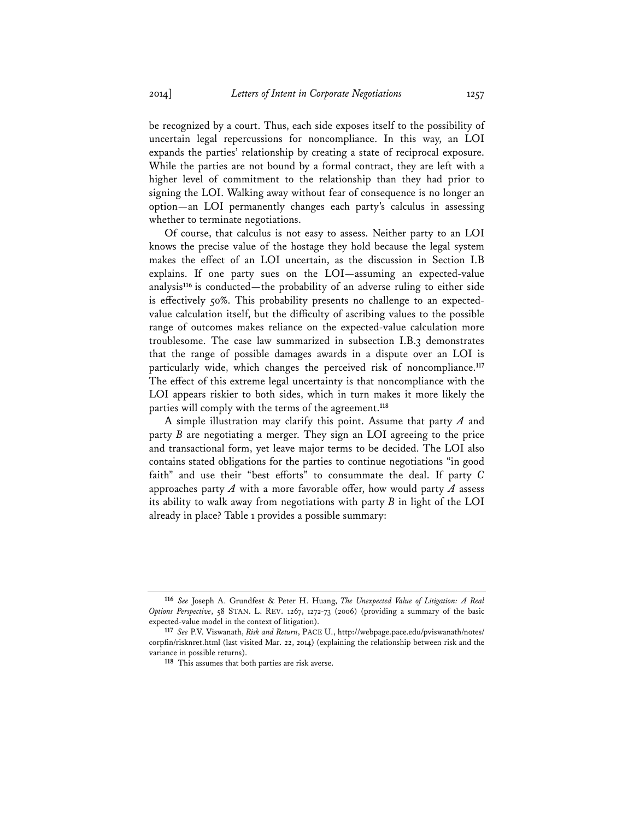be recognized by a court. Thus, each side exposes itself to the possibility of uncertain legal repercussions for noncompliance. In this way, an LOI expands the parties' relationship by creating a state of reciprocal exposure. While the parties are not bound by a formal contract, they are left with a higher level of commitment to the relationship than they had prior to signing the LOI. Walking away without fear of consequence is no longer an option—an LOI permanently changes each party's calculus in assessing whether to terminate negotiations.

Of course, that calculus is not easy to assess. Neither party to an LOI knows the precise value of the hostage they hold because the legal system makes the effect of an LOI uncertain, as the discussion in Section I.B explains. If one party sues on the LOI—assuming an expected-value analysis**<sup>116</sup>** is conducted—the probability of an adverse ruling to either side is effectively 50%. This probability presents no challenge to an expectedvalue calculation itself, but the difficulty of ascribing values to the possible range of outcomes makes reliance on the expected-value calculation more troublesome. The case law summarized in subsection I.B.3 demonstrates that the range of possible damages awards in a dispute over an LOI is particularly wide, which changes the perceived risk of noncompliance.**<sup>117</sup>** The effect of this extreme legal uncertainty is that noncompliance with the LOI appears riskier to both sides, which in turn makes it more likely the parties will comply with the terms of the agreement.**<sup>118</sup>**

A simple illustration may clarify this point. Assume that party *A* and party *B* are negotiating a merger. They sign an LOI agreeing to the price and transactional form, yet leave major terms to be decided. The LOI also contains stated obligations for the parties to continue negotiations "in good faith" and use their "best efforts" to consummate the deal. If party *C* approaches party *A* with a more favorable offer, how would party *A* assess its ability to walk away from negotiations with party *B* in light of the LOI already in place? Table 1 provides a possible summary:

**<sup>116</sup>** *See* Joseph A. Grundfest & Peter H. Huang, *The Unexpected Value of Litigation: A Real Options Perspective*, 58 STAN. L. REV. 1267, 1272-73 (2006) (providing a summary of the basic expected-value model in the context of litigation).

**<sup>117</sup>** *See* P.V. Viswanath, *Risk and Return*, PACE U., http://webpage.pace.edu/pviswanath/notes/ corpfin/risknret.html (last visited Mar. 22, 2014) (explaining the relationship between risk and the variance in possible returns).

**<sup>118</sup>** This assumes that both parties are risk averse.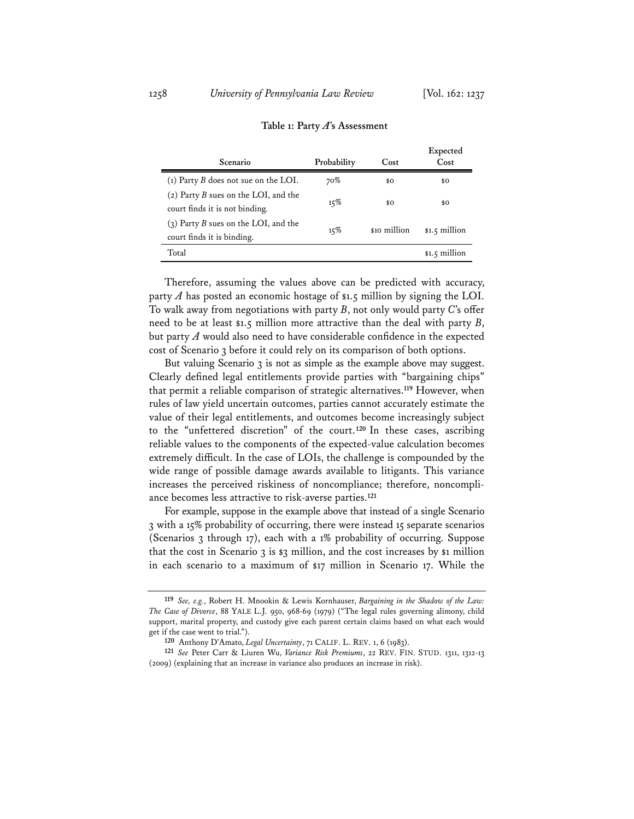| Scenario                                                               | Probability | Cost         | Expected<br>Cost |
|------------------------------------------------------------------------|-------------|--------------|------------------|
| (1) Party B does not sue on the LOI.                                   | 70%         | \$0          | \$Ο              |
| (2) Party B sues on the LOI, and the<br>court finds it is not binding. | 15%         | \$0          | \$0              |
| (3) Party B sues on the LOI, and the<br>court finds it is binding.     | 15%         | \$10 million | $$1.5$ million   |
| Total                                                                  |             |              | \$1.5 million    |
|                                                                        |             |              |                  |

#### **Table 1: Party** *A***'s Assessment**

Therefore, assuming the values above can be predicted with accuracy, party  $A$  has posted an economic hostage of \$1.5 million by signing the LOI. To walk away from negotiations with party *B*, not only would party *C*'s offer need to be at least \$1.5 million more attractive than the deal with party *B*, but party *A* would also need to have considerable confidence in the expected cost of Scenario 3 before it could rely on its comparison of both options.

But valuing Scenario 3 is not as simple as the example above may suggest. Clearly defined legal entitlements provide parties with "bargaining chips" that permit a reliable comparison of strategic alternatives.**<sup>119</sup>** However, when rules of law yield uncertain outcomes, parties cannot accurately estimate the value of their legal entitlements, and outcomes become increasingly subject to the "unfettered discretion" of the court.**<sup>120</sup>** In these cases, ascribing reliable values to the components of the expected-value calculation becomes extremely difficult. In the case of LOIs, the challenge is compounded by the wide range of possible damage awards available to litigants. This variance increases the perceived riskiness of noncompliance; therefore, noncompliance becomes less attractive to risk-averse parties.**<sup>121</sup>**

For example, suppose in the example above that instead of a single Scenario 3 with a 15% probability of occurring, there were instead 15 separate scenarios (Scenarios 3 through 17), each with a 1% probability of occurring. Suppose that the cost in Scenario 3 is \$3 million, and the cost increases by \$1 million in each scenario to a maximum of \$17 million in Scenario 17. While the

**<sup>119</sup>** *See, e.g.*, Robert H. Mnookin & Lewis Kornhauser, *Bargaining in the Shadow of the Law: The Case of Divorce*, 88 YALE L.J. 950, 968-69 (1979) ("The legal rules governing alimony, child support, marital property, and custody give each parent certain claims based on what each would get if the case went to trial.").

**<sup>120</sup>** Anthony D'Amato, *Legal Uncertainty*, 71 CALIF. L. REV. 1, 6 (1983).

**<sup>121</sup>** *See* Peter Carr & Liuren Wu, *Variance Risk Premiums*, 22 REV. FIN. STUD. 1311, 1312-13 (2009) (explaining that an increase in variance also produces an increase in risk).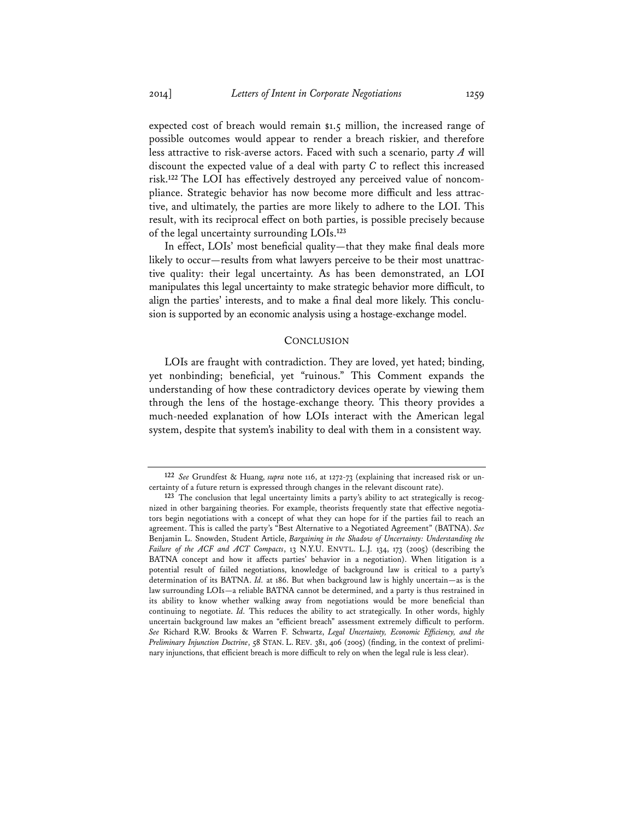expected cost of breach would remain \$1.5 million, the increased range of possible outcomes would appear to render a breach riskier, and therefore less attractive to risk-averse actors. Faced with such a scenario, party *A* will discount the expected value of a deal with party *C* to reflect this increased risk.**122** The LOI has effectively destroyed any perceived value of noncompliance. Strategic behavior has now become more difficult and less attractive, and ultimately, the parties are more likely to adhere to the LOI. This result, with its reciprocal effect on both parties, is possible precisely because of the legal uncertainty surrounding LOIs.**<sup>123</sup>**

In effect, LOIs' most beneficial quality—that they make final deals more likely to occur—results from what lawyers perceive to be their most unattractive quality: their legal uncertainty. As has been demonstrated, an LOI manipulates this legal uncertainty to make strategic behavior more difficult, to align the parties' interests, and to make a final deal more likely. This conclusion is supported by an economic analysis using a hostage-exchange model.

### **CONCLUSION**

LOIs are fraught with contradiction. They are loved, yet hated; binding, yet nonbinding; beneficial, yet "ruinous." This Comment expands the understanding of how these contradictory devices operate by viewing them through the lens of the hostage-exchange theory. This theory provides a much-needed explanation of how LOIs interact with the American legal system, despite that system's inability to deal with them in a consistent way.

**<sup>122</sup>** *See* Grundfest & Huang, *supra* note 116, at 1272-73 (explaining that increased risk or uncertainty of a future return is expressed through changes in the relevant discount rate).

**<sup>123</sup>** The conclusion that legal uncertainty limits a party's ability to act strategically is recognized in other bargaining theories. For example, theorists frequently state that effective negotiators begin negotiations with a concept of what they can hope for if the parties fail to reach an agreement. This is called the party's "Best Alternative to a Negotiated Agreement" (BATNA). *See* Benjamin L. Snowden, Student Article, *Bargaining in the Shadow of Uncertainty: Understanding the Failure of the ACF and ACT Compacts*, 13 N.Y.U. ENVTL. L.J. 134, 173 (2005) (describing the BATNA concept and how it affects parties' behavior in a negotiation). When litigation is a potential result of failed negotiations, knowledge of background law is critical to a party's determination of its BATNA. *Id.* at 186. But when background law is highly uncertain—as is the law surrounding LOIs—a reliable BATNA cannot be determined, and a party is thus restrained in its ability to know whether walking away from negotiations would be more beneficial than continuing to negotiate. *Id.* This reduces the ability to act strategically. In other words, highly uncertain background law makes an "efficient breach" assessment extremely difficult to perform. *See* Richard R.W. Brooks & Warren F. Schwartz, *Legal Uncertainty, Economic Efficiency, and the Preliminary Injunction Doctrine*, 58 STAN. L. REV. 381, 406 (2005) (finding, in the context of preliminary injunctions, that efficient breach is more difficult to rely on when the legal rule is less clear).